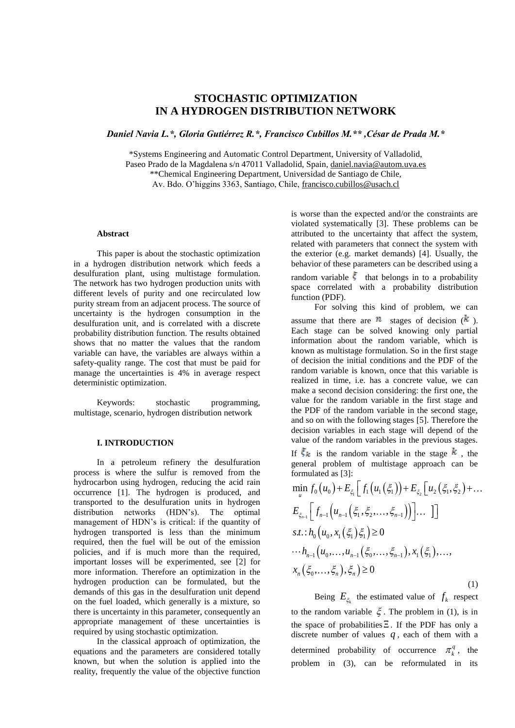# **STOCHASTIC OPTIMIZATION IN A HYDROGEN DISTRIBUTION NETWORK**

*Daniel Navia L.\*, Gloria Gutiérrez R.\*, Francisco Cubillos M.\*\* ,César de Prada M.\**

\*Systems Engineering and Automatic Control Department, University of Valladolid, Paseo Prado de la Magdalena s/n 47011 Valladolid, Spain, [daniel.navia@autom.uva.es](mailto:daniel.navia@autom.uva.es) \*\*Chemical Engineering Department, Universidad de Santiago de Chile, Av. Bdo. O'higgins 3363, Santiago, Chile, [francisco.cubillos@usach.cl](mailto:francisco.cubillos@usach.cl)

# **Abstract**

This paper is about the stochastic optimization in a hydrogen distribution network which feeds a desulfuration plant, using multistage formulation. The network has two hydrogen production units with different levels of purity and one recirculated low purity stream from an adjacent process. The source of uncertainty is the hydrogen consumption in the desulfuration unit, and is correlated with a discrete probability distribution function. The results obtained shows that no matter the values that the random variable can have, the variables are always within a safety-quality range. The cost that must be paid for manage the uncertainties is 4% in average respect deterministic optimization.

Keywords: stochastic programming, multistage, scenario, hydrogen distribution network

## **I. INTRODUCTION**

In a petroleum refinery the desulfuration process is where the sulfur is removed from the hydrocarbon using hydrogen, reducing the acid rain occurrence [1]. The hydrogen is produced, and transported to the desulfuration units in hydrogen distribution networks (HDN's). The optimal management of HDN's is critical: if the quantity of hydrogen transported is less than the minimum required, then the fuel will be out of the emission policies, and if is much more than the required, important losses will be experimented, see [2] for more information. Therefore an optimization in the hydrogen production can be formulated, but the demands of this gas in the desulfuration unit depend on the fuel loaded, which generally is a mixture, so there is uncertainty in this parameter, consequently an appropriate management of these uncertainties is required by using stochastic optimization.

In the classical approach of optimization, the equations and the parameters are considered totally known, but when the solution is applied into the reality, frequently the value of the objective function

is worse than the expected and/or the constraints are violated systematically [3]. These problems can be attributed to the uncertainty that affect the system, related with parameters that connect the system with the exterior (e.g. market demands) [4]. Usually, the behavior of these parameters can be described using a random variable  $\zeta$  that belongs in to a probability space correlated with a probability distribution function (PDF).

For solving this kind of problem, we can assume that there are  $\mathbf{n}$  stages of decision  $(k)$ . Each stage can be solved knowing only partial information about the random variable, which is known as multistage formulation. So in the first stage of decision the initial conditions and the PDF of the random variable is known, once that this variable is realized in time, i.e. has a concrete value, we can make a second decision considering: the first one, the value for the random variable in the first stage and the PDF of the random variable in the second stage, and so on with the following stages [5]. Therefore the decision variables in each stage will depend of the value of the random variables in the previous stages.

If  $\xi_k$  is the random variable in the stage  $k$ , the general problem of multistage approach can be

$$
\begin{aligned}\n\text{general problem of matrised approximation, and}\\ \text{formulated as [3]:} \\
\min_{u} f_0(u_0) + E_{\xi_1} \left[ f_1(u_1(\xi_1)) + E_{\xi_2} \left[ u_2(\xi_1, \xi_2) + \dots \right] \right] \\
E_{\xi_{n-1}} \left[ f_{n-1} \left( u_{n-1}(\xi_1, \xi_2, \dots, \xi_{n-1}) \right) \right] \dots \right] \\
\text{s.t.}: h_0 \left( u_0, x_1(\xi_1) \xi_1 \right) \ge 0 \\
\cdots h_{n-1} \left( u_0, \dots, u_{n-1}(\xi_0, \dots, \xi_{n-1}), x_1(\xi_1), \dots, x_n(\xi_0, \dots, \xi_n) \right) \ge 0\n\end{aligned}
$$

Being  $E_{\xi_k}$  the estimated value of  $f_k$  respect to the random variable  $\xi$ . The problem in (1), is in the space of probabilities  $\Xi$ . If the PDF has only a discrete number of values  $q$ , each of them with a determined probability of occurrence  $\pi_k^q$ , the problem in (3), can be reformulated in its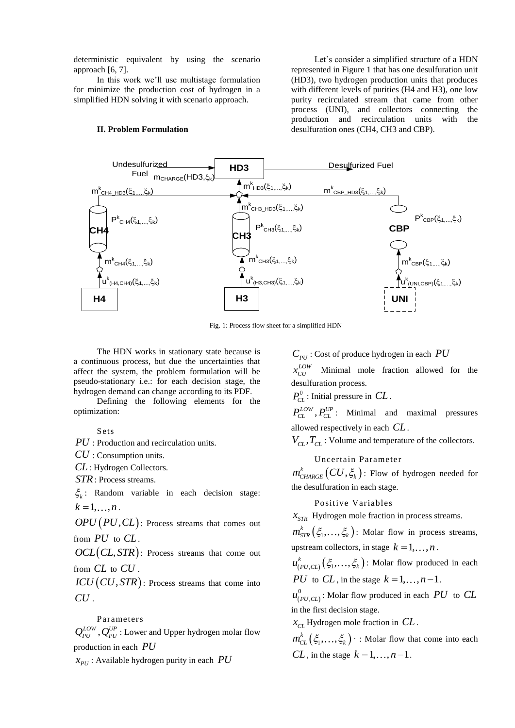deterministic equivalent by using the scenario approach [6, 7].

In this work we'll use multistage formulation for minimize the production cost of hydrogen in a simplified HDN solving it with scenario approach.

#### **II. Problem Formulation**

Let's consider a simplified structure of a HDN represented in Figure 1 that has one desulfuration unit (HD3), two hydrogen production units that produces with different levels of purities (H4 and H3), one low purity recirculated stream that came from other process (UNI), and collectors connecting the production and recirculation units with the desulfuration ones (CH4, CH3 and CBP).



Fig. 1: Process flow sheet for a simplified HDN

The HDN works in stationary state because is a continuous process, but due the uncertainties that affect the system, the problem formulation will be pseudo-stationary i.e.: for each decision stage, the hydrogen demand can change according to its PDF. e because is<br>
tainties that<br>
tion will be<br>
n stage, the<br>
o its PDF.<br>
ts for the<br> *P<sub>CL</sub>*<br>
allow<br>  $V_{CL}$ <br>
allow<br>  $V_{CL}$ <br>
allow<br>  $V_{CL}$ <br>  $m_{CH}^k$ <br>
sion stage:<br>
t comes out<br>  $m_{ST}^k$ <br>
tome out<br>  $m_{ST}^k$ <br>  $m_{ST}^k$ <br>
tome out<br>

Defining the following elements for the optimization:

Sets

*PU* : Production and recirculation units.

*CU* : Consumption units.

*CL* : Hydrogen Collectors.

*STR* : Process streams.

 $\zeta_k$ : Random variable in each decision stage:  $k = 1, \ldots, n$ .

 $OPU(PU, CL)$ : Process streams that comes out from *PU* to *CL*.

 $OCL (CL, STR)$ : Process streams that come out from *CL* to *CU .*

 $ICU (CU, STR)$ : Process streams that come into *CU .*

# Parameters

 $Q_{PU}^{LOW}, Q_{PU}^{UP}$ : Lower and Upper hydrogen molar flow production in each *PU*

 $x_{PU}$ : Available hydrogen purity in each

: Cost of produce hydrogen in each *PU*

 $x_{CU}^{LOW}$  Minimal mole fraction allowed for the desulfuration process.

 $P_{CL}^0$ : Initial pressure in  $CL$ .

 $P_{CL}^{LOW}$ ,  $P_{CL}^{UP}$ : Minimal and maximal pressures allowed respectively in each *CL* .

 $V_{CL}$ ,  $T_{CL}$ : Volume and temperature of the collectors.

# Uncertain Parameter

 $m^{k}_{\texttt{CHARGE}}\bigl(CU,\xi_{k}\bigr)$ : Flow of hydrogen needed for the desulfuration in each stage.

#### Positive Variables

*STR x* Hydrogen mole fraction in process streams.

 $m_{STR}^k(\xi_1,\ldots,\xi_k)$ : Molar flow in process streams, upstream collectors, in stage  $k = 1, \ldots, n$ .

 $u^k_{(PU,CL)}(\xi_1,\ldots,\xi_k)$ : Molar flow produced in each *PU* to *CL*, in the stage  $k = 1, ..., n-1$ .

 $(PU, CL)$ 0  $u_{(PU,CL)}^0$ : Molar flow produced in each  $PU$  to  $CL$ in the first decision stage.

*CL x* Hydrogen mole fraction in *CL* .

 $m_{CL}^k(\xi_1,\ldots,\xi_k)$  : Molar flow that come into each  $CL$ , in the stage  $k = 1, ..., n-1$ .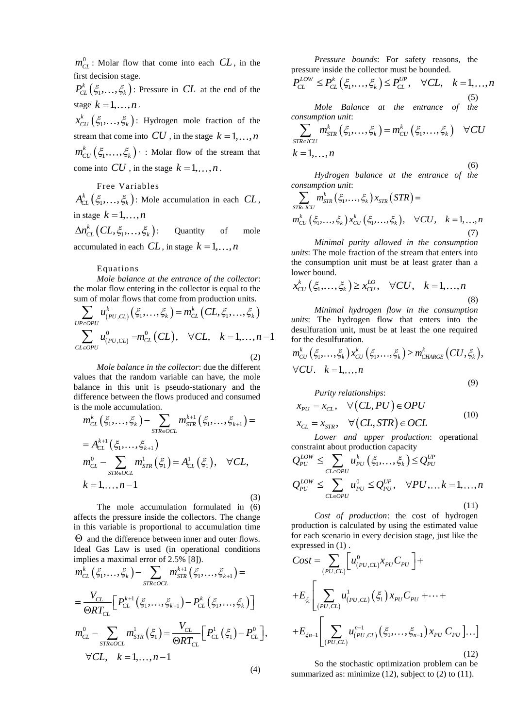$m_{CL}^0$ : Molar flow that come into each  $CL$ , in the first decision stage.

 $P_{CL}^k(\xi_1,\ldots,\xi_k)$ : Pressure in CL at the end of the stage  $k = 1, \ldots, n$ .

 $x_{CU}^k\left(\xi_1,\ldots,\xi_k\right)$ : Hydrogen mole fraction of the stream that come into  $CU$ , in the stage  $k = 1, ..., n$  $m_{CU}^k\left(\xi_1,\ldots,\xi_k\right)$  : Molar flow of the stream that come into CU , in the stage  $k = 1, ..., n$ .

## Free Variables

 $A_{CL}^{k}(\xi_1,\ldots,\xi_k)$ : Mole accumulation in each  $CL$ , in stage  $k = 1, \ldots, n$ 

 $\Delta n^{k}_{CL}\bigl(CL, \xi_1, \ldots, \xi_k\bigr)$ Quantity of mole accumulated in each  $CL$ , in stage  $k = 1, ..., n$ 

#### Equations

*Mole balance at the entrance of the collector*: the molar flow entering in the collector is equal to the

the molar flow entering in the collector is equal to the sum of molar flows that come from production units.  
\n
$$
\sum_{UP \in OPU} u_{(PU,CL)}^k(\xi_1, ..., \xi_k) = m_{CL}^k(CL, \xi_1, ..., \xi_k)
$$
\n
$$
\sum_{CL \in OPU} u_{(PU,CL)}^0 = m_{CL}^0(CL), \quad \forall CL, \quad k = 1, ..., n-1
$$
\n
$$
(2)
$$
\n
$$
(2)
$$

*Mole balance in the collector*: due the different values that the random variable can have, the mole balance in this unit is pseudo-stationary and the difference between the flows produced and consumed

$$
\begin{aligned}\n\text{inference between the flows produced and considered} \\
\text{is the mole accumulation.} \\
m_{CL}^k\left(\xi_1,\ldots,\xi_k\right) - \sum_{STR\in OCL} m_{STR}^{k+1}\left(\xi_1,\ldots,\xi_{k+1}\right) \\
&= A_{CL}^{k+1}\left(\xi_1,\ldots,\xi_{k+1}\right) \\
m_{CL}^0 - \sum_{STR\in OCL} m_{STR}^1\left(\xi_1\right) = A_{CL}^1\left(\xi_1\right), \quad \forall CL, \\
k = 1,\ldots,n-1\n\end{aligned}
$$
\n(3)

The mole accumulation formulated in (6) affects the pressure inside the collectors. The change in this variable is proportional to accumulation time  $\Theta$  and the difference between inner and outer flows. Ideal Gas Law is used (in operational conditions<br>implies a maximal error of 2.5% [8]).<br> $m_{CL}^k(\xi_1,...,\xi_k) - \sum m_{STR}^{k+1}(\xi_1,...,\xi_{k+1}) =$ 

ideal Gas Law is used (in operational conditions  
implies a maximal error of 2.5% [8]).  

$$
m_{CL}^k(\xi_1,...,\xi_k) - \sum_{STReOCL} m_{STR}^{k+1}(\xi_1,...,\xi_{k+1}) =
$$

$$
= \frac{V_{CL}}{\Theta RT_{CL}} \Big[ P_{CL}^{k+1}(\xi_1,...,\xi_{k+1}) - P_{CL}^k(\xi_1,...,\xi_k) \Big]
$$

$$
m_{CL}^0 - \sum_{STReOCL} m_{STR}^1(\xi_1) = \frac{V_{CL}}{\Theta RT_{CL}} \Big[ P_{CL}^1(\xi_1) - P_{CL}^0 \Big],
$$

$$
\forall CL, k = 1,..., n-1
$$

*Pressure bounds*: For safety reasons, the reinside the collector must be bounded.<br>  $\leq P_{CL}^k(\xi_1,\ldots,\xi_k) \leq P_{CL}^{UP}, \quad \forall CL, \quad k = 1,\ldots,$ pressure inside the collector must be bounded.

*Pressure bounds:* For safety reasons, the pressure inside the collector must be bounded.  
\n
$$
P_{CL}^{LOW} \leq P_{CL}^{k} (\xi_1, ..., \xi_k) \leq P_{CL}^{UP}, \quad \forall CL, \quad k = 1, ..., n
$$
\n(5)

*Mole Balance at the entrance of the consumption unit:*  
\n
$$
\sum_{\text{STRE-ICU}} m_{\text{STR}}^{k} (\xi_1, ..., \xi_k) = m_{\text{CU}}^{k} (\xi_1, ..., \xi_k) \quad \forall CU
$$
\n
$$
k = 1, ..., n
$$
\n(6)

*Hydrogen balance at the entrance of the*<br> *mption unit:*<br>  $m_{STR}^k(\xi_1,...,\xi_k)x_{STR}(STR) =$ *consumption unit*:

$$
\sum_{\substack{STR \in ICU}} m_{STR}^k(\xi_1, \dots, \xi_k) x_{STR}(STR) =
$$
\n
$$
m_{CU}^k(\xi_1, \dots, \xi_k) x_{CU}^k(\xi_1, \dots, \xi_k), \quad \forall CU, \quad k = 1, \dots, n
$$
\n(7)

*Minimal purity allowed in the consumption units*: The mole fraction of the stream that enters into the consumption unit must be at least grater than a lower bound.<br> $r^k$   $(\xi \xi) > r^{LQ}$ 

lower bound.  
\n
$$
x_{CU}^{k}(\xi_{1},...,\xi_{k}) \geq x_{CU}^{LO}, \quad \forall CU, \quad k = 1,...,n
$$
\n(8)

*Minimal hydrogen flow in the consumption units*: The hydrogen flow that enters into the desulfuration unit, must be at least the one required for the desulfuration.<br>  $m_{CU}^k(\xi_1,\ldots,\xi_k)x_{CU}^k(\xi_1,\ldots,\xi_k) \geq m_{CHARGE}^k(CU,\xi_k),$ for the desulfuration.

$$
m_{CU}^k\left(\xi_1,\ldots,\xi_k\right)x_{CU}^k\left(\xi_1,\ldots,\xi_k\right)\geq m_{CHARGE}^k\left(CU,\xi_k\right),
$$
  

$$
\forall CU. \quad k=1,\ldots,n
$$

$$
Purity relationships:\n
$$
x_{PU} = x_{CL}, \quad \forall (CL, PU) \in OPU
$$
\n
$$
x_{CL} = x_{STR}, \quad \forall (CL, STR) \in OCL
$$
\n(10)
$$

*Lower and upper production*: operational

$$
Lower and upper production: operationalconstraint about production capacity
$$
Q_{PU}^{LOW} \leq \sum_{CL \in OPU} u_{PU}^k(\xi_1, ..., \xi_k) \leq Q_{PU}^{UP}
$$

$$
Q_{PU}^{LOW} \leq \sum_{CL \in OPU} u_{PU}^0 \leq Q_{PU}^{UP}, \quad \forall PU, ..., k = 1, ..., n
$$
(11)
$$

*Cost of production*: the cost of hydrogen production is calculated by using the estimated value for each scenario in every decision stage, just like the

for each scenario in every decision stage, just the the expressed in (1).  
\n
$$
Cost = \sum_{(PU,CL)} \left[ u_{(PU,CL)}^0 x_{PU} C_{PU} \right] +
$$
\n
$$
+ E_{\xi_1} \left[ \sum_{(PU,CL)} u_{(PU,CL)}^1 \left( \xi_1 \right) x_{PU} C_{PU} + \cdots +
$$
\n
$$
+ E_{\xi_{n-1}} \left[ \sum_{(PU,CL)} u_{(PU,CL)}^{n-1} \left( \xi_1, \ldots, \xi_{n-1} \right) x_{PU} C_{PU} \right] \cdots \right]
$$
\n(12)

(12)

(9)

So the stochastic optimization problem can be summarized as: minimize  $(12)$ , subject to  $(2)$  to  $(11)$ .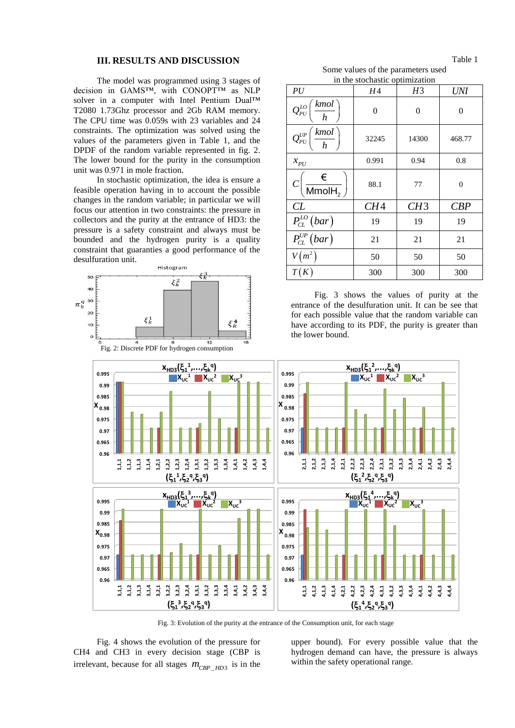### **III. RESULTS AND DISCUSSION**

The model was programmed using 3 stages of decision in GAMS™, with CONOPT™ as NLP solver in a computer with Intel Pentium Dual™ T2080 1.73Ghz processor and 2Gb RAM memory. The CPU time was 0.059s with 23 variables and 24 constraints. The optimization was solved using the values of the parameters given in Table 1, and the DPDF of the random variable represented in fig. 2. The lower bound for the purity in the consumption unit was 0.971 in mole fraction.

In stochastic optimization, the idea is ensure a feasible operation having in to account the possible changes in the random variable; in particular we will focus our attention in two constraints: the pressure in collectors and the purity at the entrance of HD3: the pressure is a safety constraint and always must be bounded and the hydrogen purity is a quality constraint that guaranties a good performance of the desulfuration unit.



Table 1 Some values of the parameters used

| in the stochastic optimization                                                  |       |       |                |  |  |
|---------------------------------------------------------------------------------|-------|-------|----------------|--|--|
| PU                                                                              | Η4    | H3    | <b>UNI</b>     |  |  |
| kmol<br>$Q_{\scriptscriptstyle PU}^{\scriptscriptstyle LO}$<br>$\boldsymbol{h}$ | 0     | 0     | 0              |  |  |
| kmol<br>$Q_{PU}^{UP}$<br>$\boldsymbol{h}$                                       | 32245 | 14300 | 468.77         |  |  |
| $x_{PU}$                                                                        | 0.991 | 0.94  | 0.8            |  |  |
| $\frac{\epsilon}{\mathsf{MmolH}_{2}}\bigg)$<br> C                               | 88.1  | 77    | $\overline{0}$ |  |  |
| CL                                                                              | CH4   | CH3   | CBP            |  |  |
| $P_{CL}^{LO}(bar)$                                                              | 19    | 19    | 19             |  |  |
| $\overline{P_{CL}^{UP}(bar)}$                                                   | 21    | 21    | 21             |  |  |
| $V(m^2)$                                                                        | 50    | 50    | 50             |  |  |
| T(K)                                                                            | 300   | 300   | 300            |  |  |

entrance of the desulfuration unit. It can be see that for each possible value that the random variable can have according to its PDF, the purity is greater than

Fig. 3: Evolution of the purity at the entrance of the Consumption unit, for each stage

Fig. 4 shows the evolution of the pressure for CH4 and CH3 in every decision stage (CBP is irrelevant, because for all stages  $m_{CBP\_HD3}$  is in the

upper bound). For every possible value that the hydrogen demand can have, the pressure is always within the safety operational range.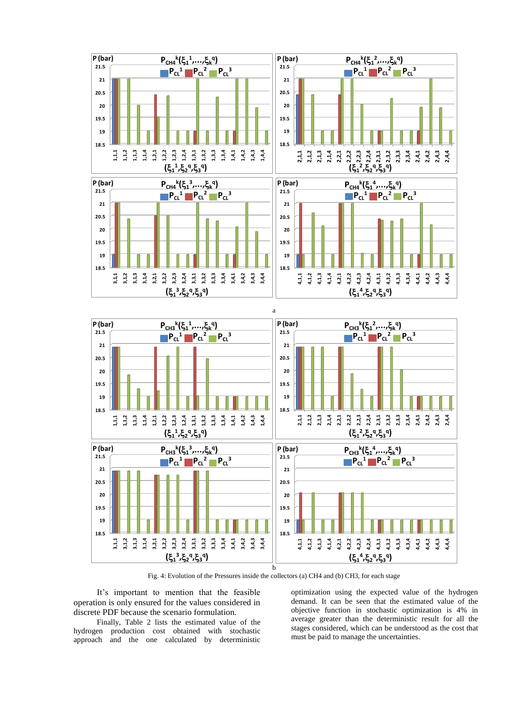

Fig. 4: Evolution of the Pressures inside the collectors (a) CH4 and (b) CH3, for each stage

It's important to mention that the feasible operation is only ensured for the values considered in discrete PDF because the scenario formulation.

Finally, Table 2 lists the estimated value of the hydrogen production cost obtained with stochastic approach and the one calculated by deterministic

optimization using the expected value of the hydrogen demand. It can be seen that the estimated value of the objective function in stochastic optimization is 4% in average greater than the deterministic result for all the stages considered, which can be understood as the cost that must be paid to manage the uncertainties.